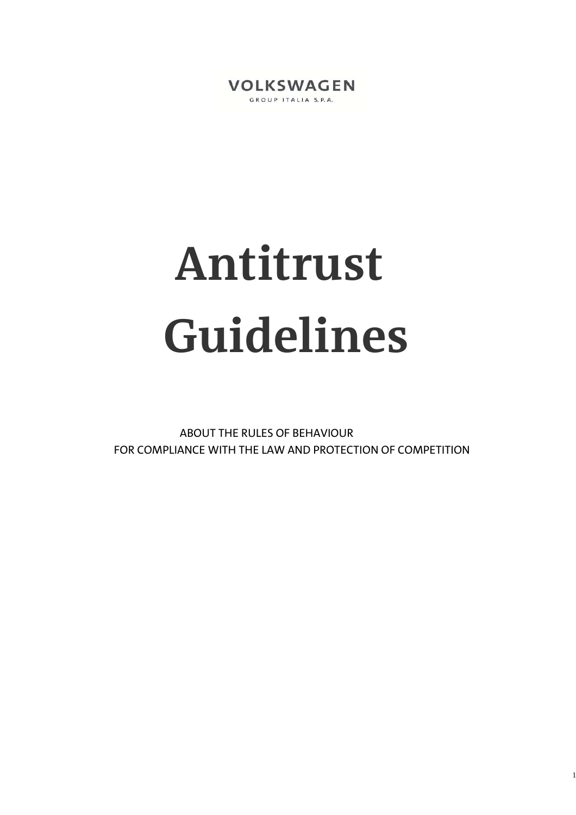

# **Antitrust Guidelines**

 ABOUT THE RULES OF BEHAVIOUR FOR COMPLIANCE WITH THE LAW AND PROTECTION OF COMPETITION

1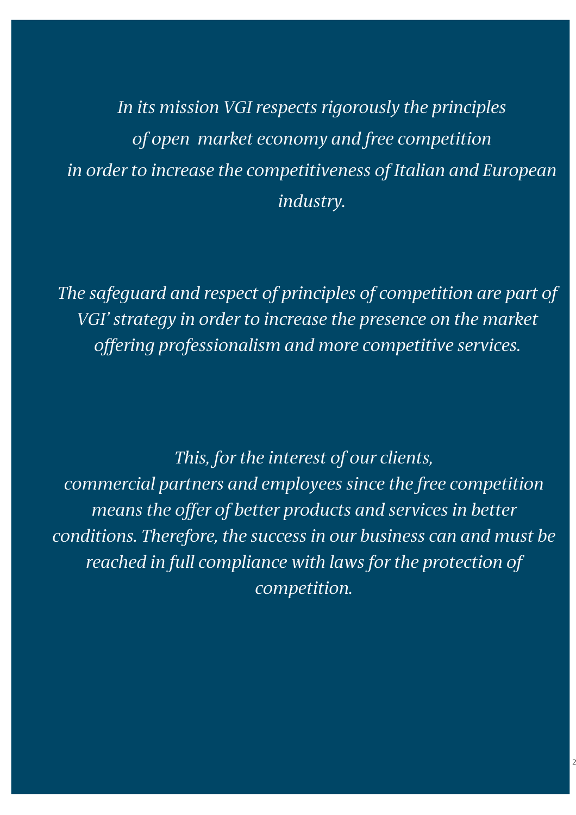*In its mission VGI respects rigorously the principles of open market economy and free competition in order to increase the competitiveness of Italian and European industry.* 

*The safeguard and respect of principles of competition are part of VGI' strategy in order to increase the presence on the market offering professionalism and more competitive services.* 

*This, for the interest of our clients, commercial partners and employees since the free competition means the offer of better products and services in better conditions. Therefore, the success in our business can and must be reached in full compliance with laws for the protection of competition.* 

2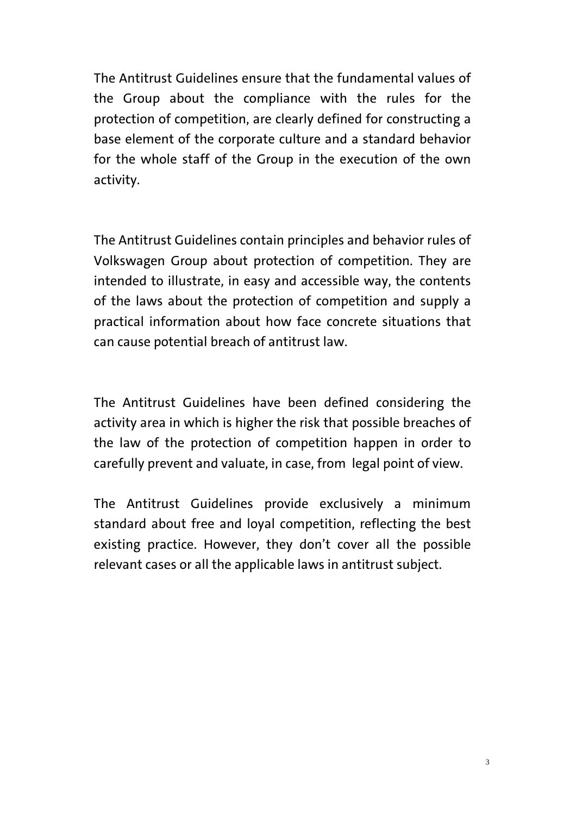The Antitrust Guidelines ensure that the fundamental values of the Group about the compliance with the rules for the protection of competition, are clearly defined for constructing a base element of the corporate culture and a standard behavior for the whole staff of the Group in the execution of the own activity.

The Antitrust Guidelines contain principles and behavior rules of Volkswagen Group about protection of competition. They are intended to illustrate, in easy and accessible way, the contents of the laws about the protection of competition and supply a practical information about how face concrete situations that can cause potential breach of antitrust law.

The Antitrust Guidelines have been defined considering the activity area in which is higher the risk that possible breaches of the law of the protection of competition happen in order to carefully prevent and valuate, in case, from legal point of view.

The Antitrust Guidelines provide exclusively a minimum standard about free and loyal competition, reflecting the best existing practice. However, they don't cover all the possible relevant cases or all the applicable laws in antitrust subject.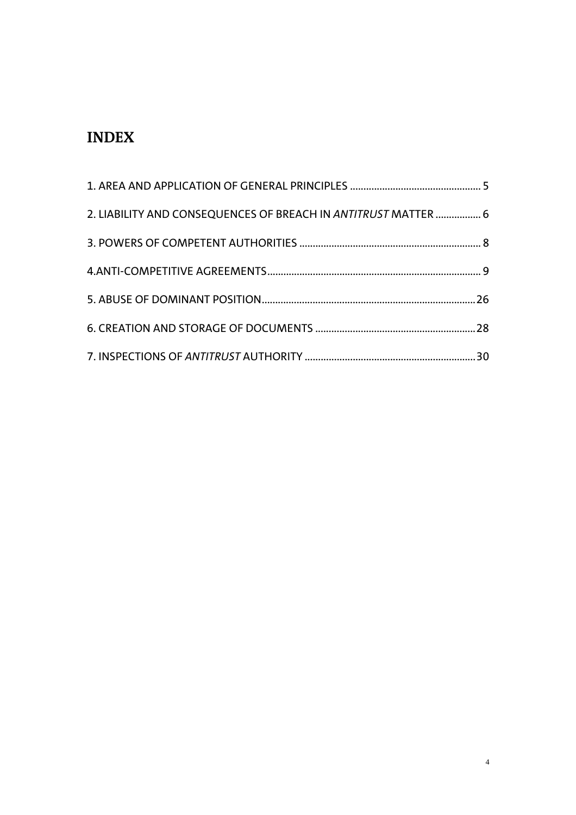# **INDEX**

| 2. LIABILITY AND CONSEQUENCES OF BREACH IN ANTITRUST MATTER  6 |  |
|----------------------------------------------------------------|--|
|                                                                |  |
|                                                                |  |
|                                                                |  |
|                                                                |  |
|                                                                |  |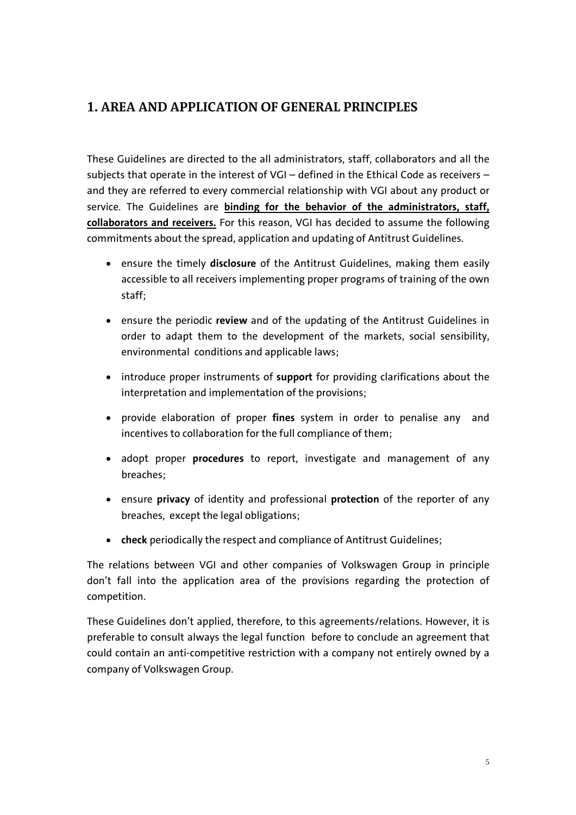#### **1. AREA AND APPLICATION OF GENERAL PRINCIPLES**

These Guidelines are directed to the all administrators, staff, collaborators and all the subjects that operate in the interest of VGI – defined in the Ethical Code as receivers – and they are referred to every commercial relationship with VGI about any product or service. The Guidelines are **binding for the behavior of the administrators, staff, collaborators and receivers.** For this reason, VGI has decided to assume the following commitments about the spread, application and updating of Antitrust Guidelines.

- ensure the timely **disclosure** of the Antitrust Guidelines, making them easily accessible to all receivers implementing proper programs of training of the own staff;
- ensure the periodic **review** and of the updating of the Antitrust Guidelines in order to adapt them to the development of the markets, social sensibility, environmental conditions and applicable laws;
- introduce proper instruments of **support** for providing clarifications about the interpretation and implementation of the provisions;
- provide elaboration of proper **fines** system in order to penalise any and incentives to collaboration for the full compliance of them;
- adopt proper **procedures** to report, investigate and management of any breaches;
- ensure **privacy** of identity and professional **protection** of the reporter of any breaches, except the legal obligations;
- **check** periodically the respect and compliance of Antitrust Guidelines;

The relations between VGI and other companies of Volkswagen Group in principle don't fall into the application area of the provisions regarding the protection of competition.

These Guidelines don't applied, therefore, to this agreements/relations. However, it is preferable to consult always the legal function before to conclude an agreement that could contain an anti-competitive restriction with a company not entirely owned by a company of Volkswagen Group.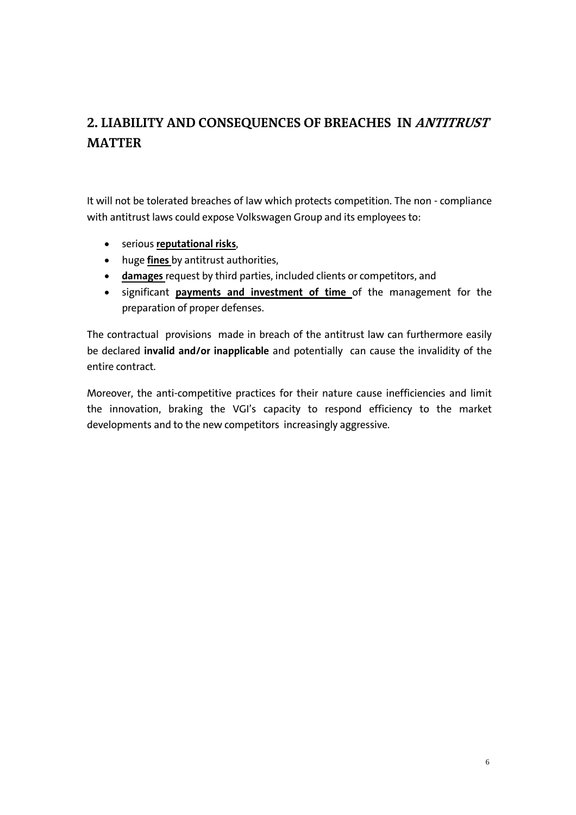# **2. LIABILITY AND CONSEQUENCES OF BREACHES IN ANTITRUST MATTER**

It will not be tolerated breaches of law which protects competition. The non - compliance with antitrust laws could expose Volkswagen Group and its employees to:

- serious **reputational risks**,
- huge **fines** by antitrust authorities,
- **damages** request by third parties, included clients or competitors, and
- significant **payments and investment of time** of the management for the preparation of proper defenses.

The contractual provisions made in breach of the antitrust law can furthermore easily be declared **invalid and/or inapplicable** and potentially can cause the invalidity of the entire contract.

Moreover, the anti-competitive practices for their nature cause inefficiencies and limit the innovation, braking the VGI's capacity to respond efficiency to the market developments and to the new competitors increasingly aggressive.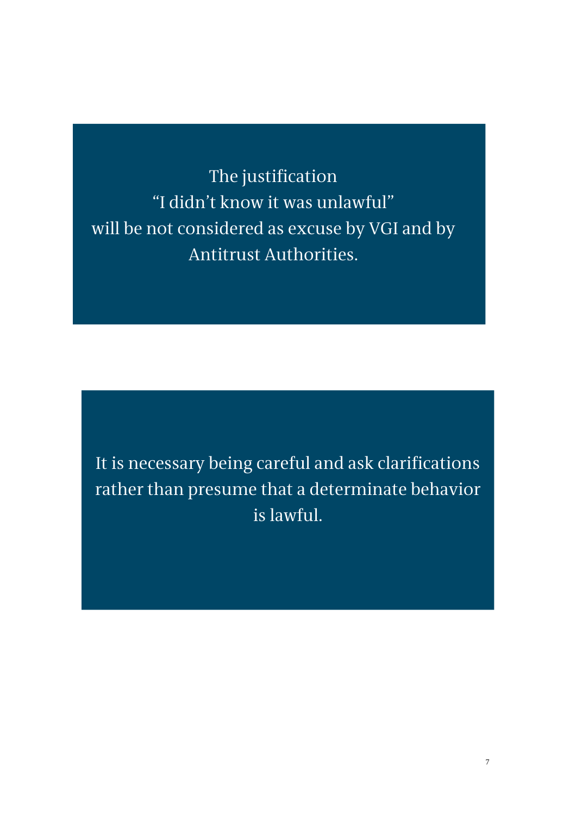The justification "I didn't know it was unlawful" will be not considered as excuse by VGI and by Antitrust Authorities.

It is necessary being careful and ask clarifications rather than presume that a determinate behavior is lawful.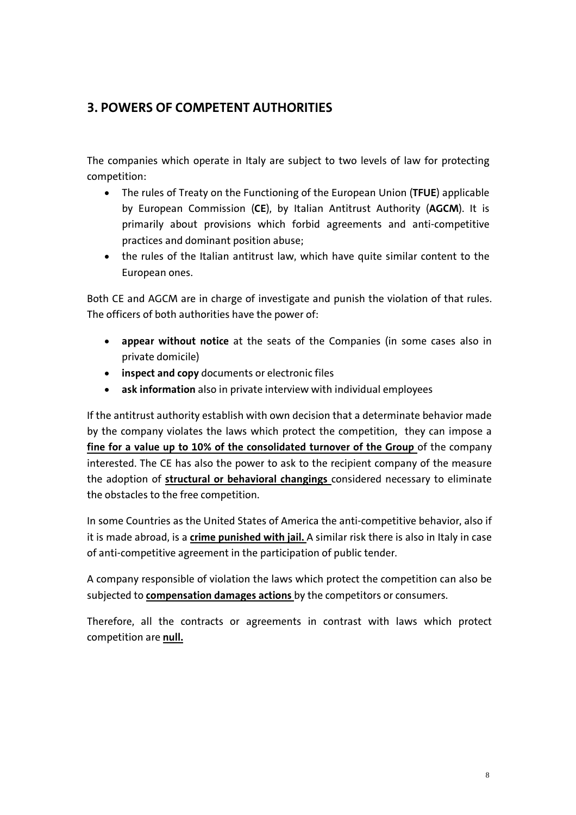## **3. POWERS OF COMPETENT AUTHORITIES**

The companies which operate in Italy are subject to two levels of law for protecting competition:

- The rules of Treaty on the Functioning of the European Union (**TFUE**) applicable by European Commission (**CE**), by Italian Antitrust Authority (**AGCM**). It is primarily about provisions which forbid agreements and anti-competitive practices and dominant position abuse;
- the rules of the Italian antitrust law, which have quite similar content to the European ones.

Both CE and AGCM are in charge of investigate and punish the violation of that rules. The officers of both authorities have the power of:

- **appear without notice** at the seats of the Companies (in some cases also in private domicile)
- **inspect and copy** documents or electronic files
- **ask information** also in private interview with individual employees

If the antitrust authority establish with own decision that a determinate behavior made by the company violates the laws which protect the competition, they can impose a **fine for a value up to 10% of the consolidated turnover of the Group** of the company interested. The CE has also the power to ask to the recipient company of the measure the adoption of **structural or behavioral changings** considered necessary to eliminate the obstacles to the free competition.

In some Countries as the United States of America the anti-competitive behavior, also if it is made abroad, is a **crime punished with jail.** A similar risk there is also in Italy in case of anti-competitive agreement in the participation of public tender.

A company responsible of violation the laws which protect the competition can also be subjected to **compensation damages actions** by the competitors or consumers.

Therefore, all the contracts or agreements in contrast with laws which protect competition are **null.**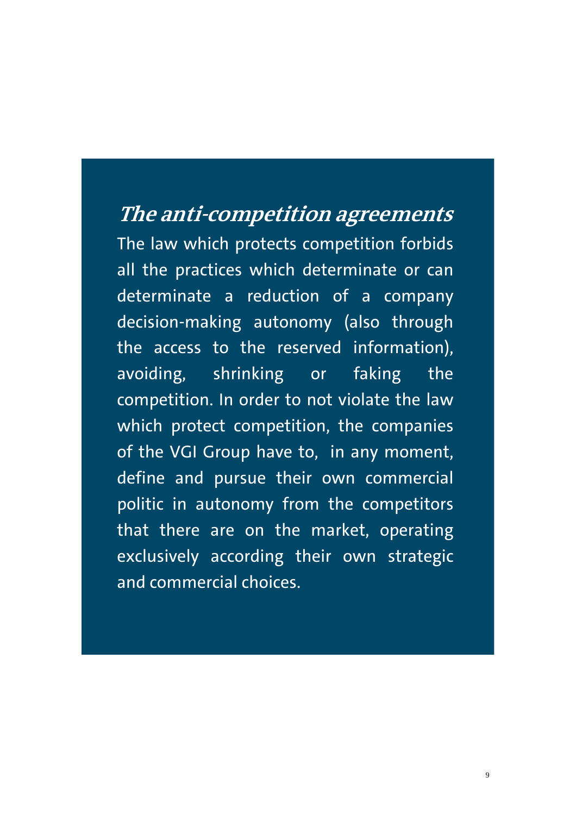# **The anti-competition agreements**

The law which protects competition forbids all the practices which determinate or can determinate a reduction of a company decision-making autonomy (also through the access to the reserved information), avoiding, shrinking or faking the competition. In order to not violate the law which protect competition, the companies of the VGI Group have to, in any moment, define and pursue their own commercial politic in autonomy from the competitors that there are on the market, operating exclusively according their own strategic and commercial choices.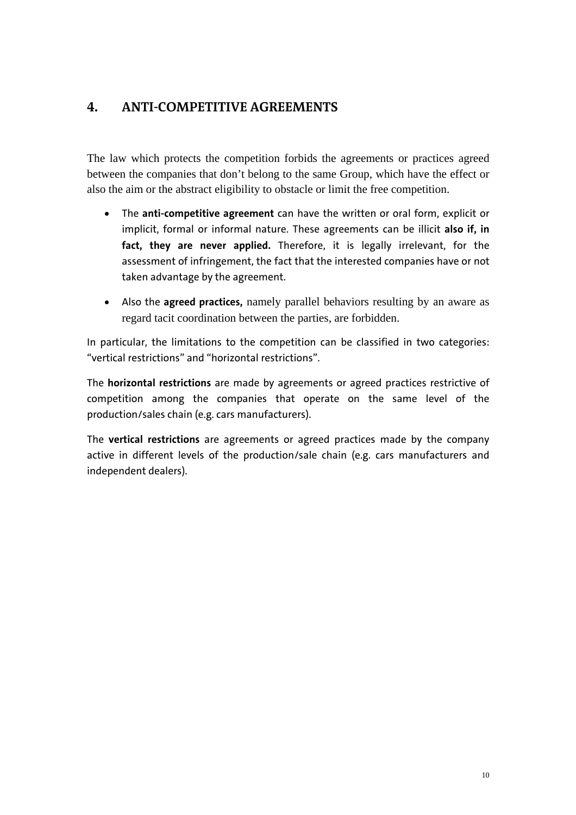#### **4. ANTI-COMPETITIVE AGREEMENTS**

The law which protects the competition forbids the agreements or practices agreed between the companies that don't belong to the same Group, which have the effect or also the aim or the abstract eligibility to obstacle or limit the free competition.

- The **anti-competitive agreement** can have the written or oral form, explicit or implicit, formal or informal nature. These agreements can be illicit **also if, in fact, they are never applied.** Therefore, it is legally irrelevant, for the assessment of infringement, the fact that the interested companies have or not taken advantage by the agreement.
- Also the **agreed practices,** namely parallel behaviors resulting by an aware as regard tacit coordination between the parties, are forbidden.

In particular, the limitations to the competition can be classified in two categories: "vertical restrictions" and "horizontal restrictions".

The **horizontal restrictions** are made by agreements or agreed practices restrictive of competition among the companies that operate on the same level of the production/sales chain (e.g. cars manufacturers).

The **vertical restrictions** are agreements or agreed practices made by the company active in different levels of the production/sale chain (e.g. cars manufacturers and independent dealers).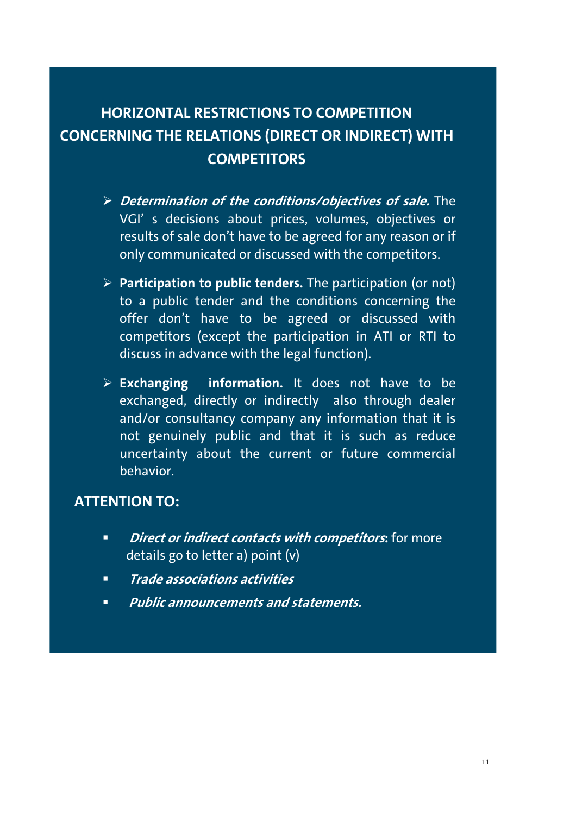# **HORIZONTAL RESTRICTIONS TO COMPETITION CONCERNING THE RELATIONS (DIRECT OR INDIRECT) WITH COMPETITORS**

- **Determination of the conditions/objectives of sale.** The VGI' s decisions about prices, volumes, objectives or results of sale don't have to be agreed for any reason or if only communicated or discussed with the competitors.
- **Participation to public tenders.** The participation (or not) to a public tender and the conditions concerning the offer don't have to be agreed or discussed with competitors (except the participation in ATI or RTI to discuss in advance with the legal function).
- **Exchanging information.** It does not have to be exchanged, directly or indirectly also through dealer and/or consultancy company any information that it is not genuinely public and that it is such as reduce uncertainty about the current or future commercial behavior.

# **ATTENTION TO:**

- *<u>Direct or indirect contacts with competitors:* **for more**</u> details go to letter a) point (v)
- **Trade associations activities**
- **Public announcements and statements.**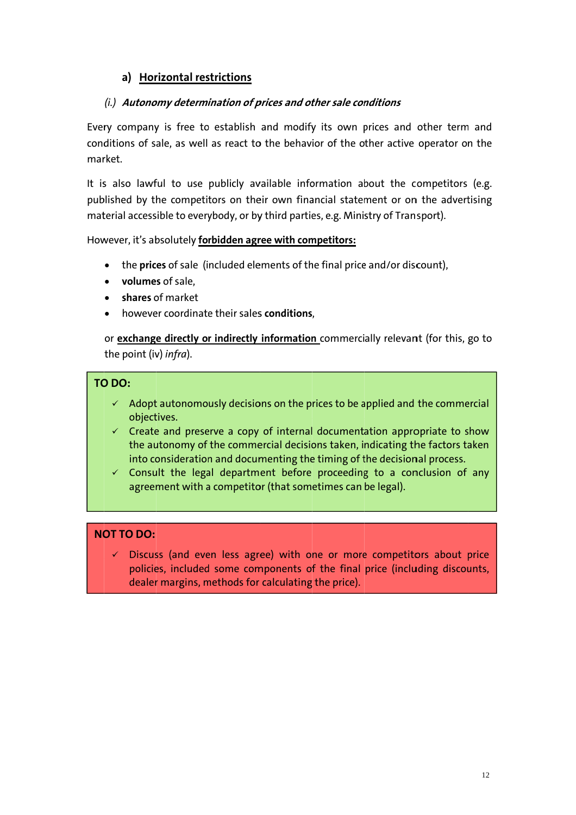#### a) Horizontal restrictions

#### (i.) Autonomy determination of prices and other sale conditions

Every company is free to establish and modify its own prices and other term and conditions of sale, as well as react to the behavior of the other active operator on the market

It is also lawful to use publicly available information about the competitors (e.g. published by the competitors on their own financial statement or on the advertising material accessible to everybody, or by third parties, e.g. Ministry of Transport).

However, it's absolutely forbidden agree with competitors:

- the prices of sale (included elements of the final price and/or discount),  $\bullet$
- volumes of sale.
- $\bullet$  shares of market
- however coordinate their sales conditions.

or exchange directly or indirectly information commercially relevant (for this, go to the point (iv) infra).

#### TO DO:

- $\checkmark$  Adopt autonomously decisions on the prices to be applied and the commercial objectives.
- $\checkmark$  Create and preserve a copy of internal documentation appropriate to show the autonomy of the commercial decisions taken, indicating the factors taken into consideration and documenting the timing of the decisional process.
- $\checkmark$  Consult the legal department before proceeding to a conclusion of any agreement with a competitor (that sometimes can be legal).

#### **NOT TO DO:**

Discuss (and even less agree) with one or more competitors about price policies, included some components of the final price (including discounts, dealer margins, methods for calculating the price).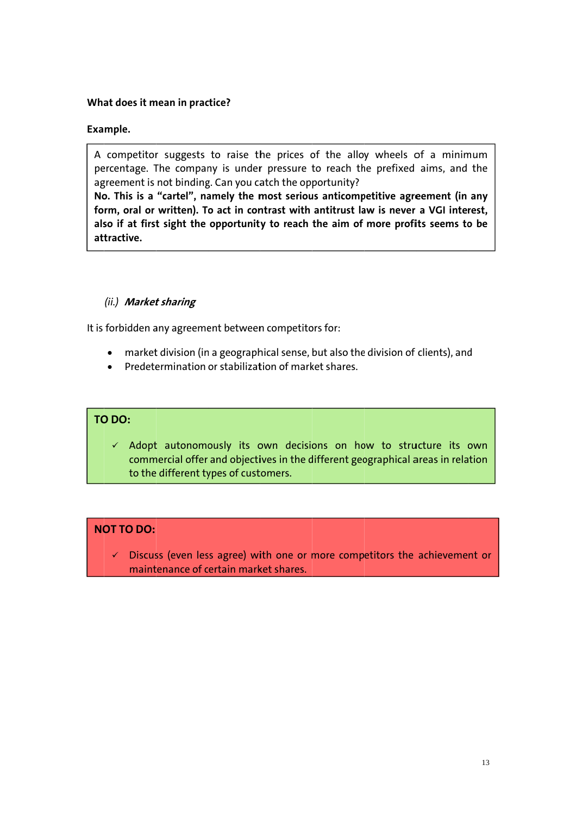#### What does it mean in practice?

#### Example.

A competitor suggests to raise the prices of the alloy wheels of a minimum percentage. The company is under pressure to reach the prefixed aims, and the agreement is not binding. Can you catch the opportunity?

No. This is a "cartel", namely the most serious anticompetitive agreement (in any form, oral or written). To act in contrast with antitrust law is never a VGI interest, also if at first sight the opportunity to reach the aim of more profits seems to be attractive.

#### (ii.) Market sharing

It is forbidden any agreement between competitors for:

- market division (in a geographical sense, but also the division of clients), and
- Predetermination or stabilization of market shares.

#### TO DO:

 $\checkmark$  Adopt autonomously its own decisions on how to structure its own commercial offer and objectives in the different geographical areas in relation to the different types of customers.

#### **NOT TO DO:**

 $\checkmark$  Discuss (even less agree) with one or more competitors the achievement or maintenance of certain market shares.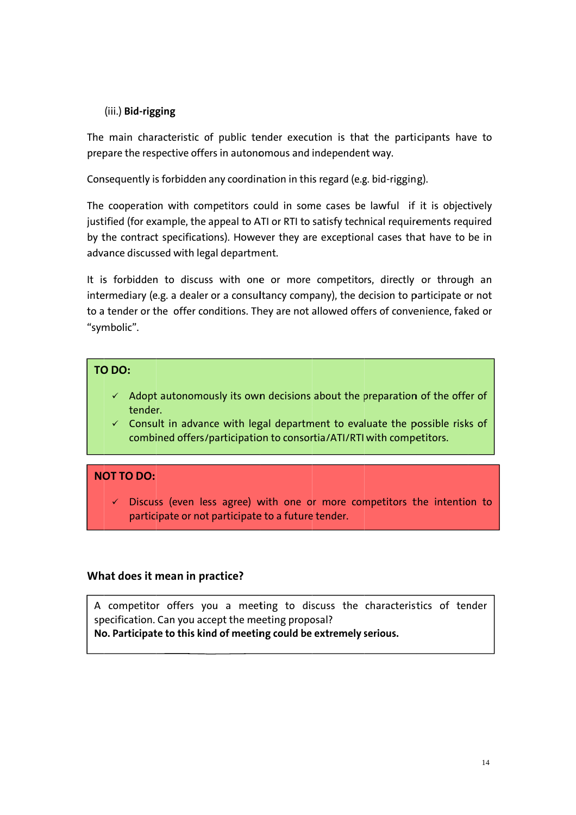#### (iii.) Bid-rigging

The main characteristic of public tender execution is that the participants have to prepare the respective offers in autonomous and independent way.

Consequently is forbidden any coordination in this regard (e.g. bid-rigging).

The cooperation with competitors could in some cases be lawful if it is objectively justified (for example, the appeal to ATI or RTI to satisfy technical requirements required by the contract specifications). However they are exceptional cases that have to be in advance discussed with legal department.

It is forbidden to discuss with one or more competitors, directly or through an intermediary (e.g. a dealer or a consultancy company), the decision to participate or not to a tender or the offer conditions. They are not allowed offers of convenience, faked or "symbolic".

#### TO DO:

- $\checkmark$  Adopt autonomously its own decisions about the preparation of the offer of tender.
- $\checkmark$  Consult in advance with legal department to evaluate the possible risks of combined offers/participation to consortia/ATI/RTI with competitors.

#### NOT TO DO:

 $\checkmark$  Discuss (even less agree) with one or more competitors the intention to participate or not participate to a future tender.

#### What does it mean in practice?

A competitor offers you a meeting to discuss the characteristics of tender specification. Can you accept the meeting proposal? No. Participate to this kind of meeting could be extremely serious.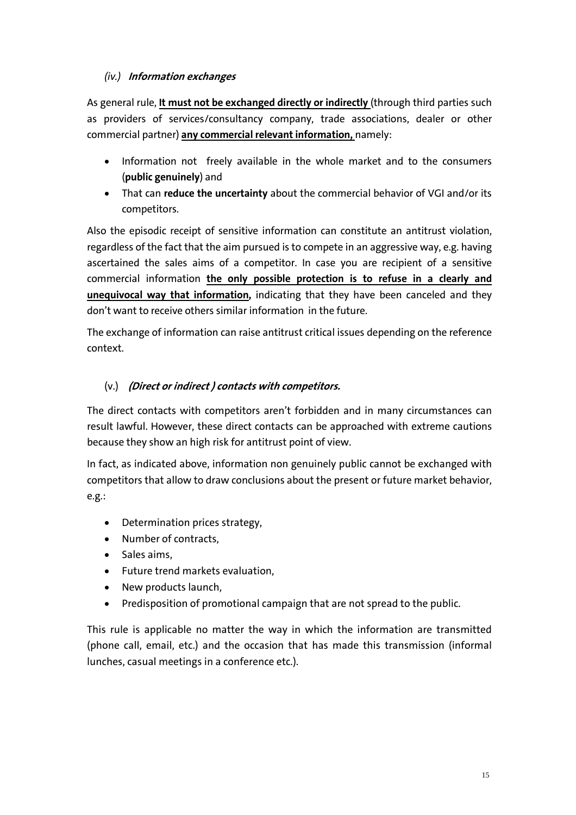#### *(iv.)* **Information exchanges**

As general rule, **It must not be exchanged directly or indirectly** (through third parties such as providers of services/consultancy company, trade associations, dealer or other commercial partner) **any commercial relevant information,** namely:

- Information not freely available in the whole market and to the consumers (**public genuinely**) and
- That can **reduce the uncertainty** about the commercial behavior of VGI and/or its competitors.

Also the episodic receipt of sensitive information can constitute an antitrust violation, regardless of the fact that the aim pursued is to compete in an aggressive way, e.g. having ascertained the sales aims of a competitor. In case you are recipient of a sensitive commercial information **the only possible protection is to refuse in a clearly and unequivocal way that information,** indicating that they have been canceled and they don't want to receive others similar information in the future.

The exchange of information can raise antitrust critical issues depending on the reference context.

#### (v.) **(Direct or indirect ) contacts with competitors.**

The direct contacts with competitors aren't forbidden and in many circumstances can result lawful. However, these direct contacts can be approached with extreme cautions because they show an high risk for antitrust point of view.

In fact, as indicated above, information non genuinely public cannot be exchanged with competitors that allow to draw conclusions about the present or future market behavior, e.g.:

- Determination prices strategy,
- Number of contracts,
- Sales aims,
- Future trend markets evaluation,
- New products launch,
- Predisposition of promotional campaign that are not spread to the public.

This rule is applicable no matter the way in which the information are transmitted (phone call, email, etc.) and the occasion that has made this transmission (informal lunches, casual meetings in a conference etc.).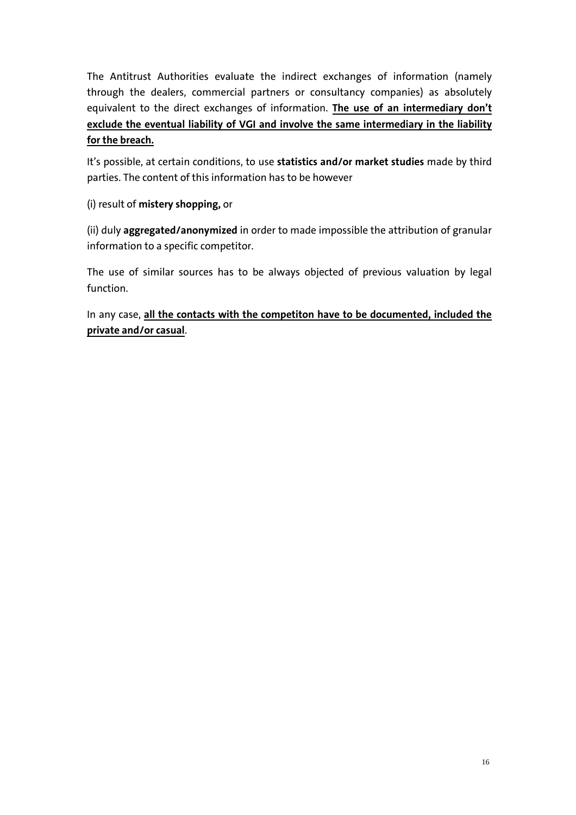The Antitrust Authorities evaluate the indirect exchanges of information (namely through the dealers, commercial partners or consultancy companies) as absolutely equivalent to the direct exchanges of information. **The use of an intermediary don't exclude the eventual liability of VGI and involve the same intermediary in the liability for the breach.**

It's possible, at certain conditions, to use **statistics and/or market studies** made by third parties. The content of this information has to be however

(i) result of **mistery shopping,** or

(ii) duly **aggregated/anonymized** in order to made impossible the attribution of granular information to a specific competitor.

The use of similar sources has to be always objected of previous valuation by legal function.

In any case, **all the contacts with the competiton have to be documented, included the private and/or casual**.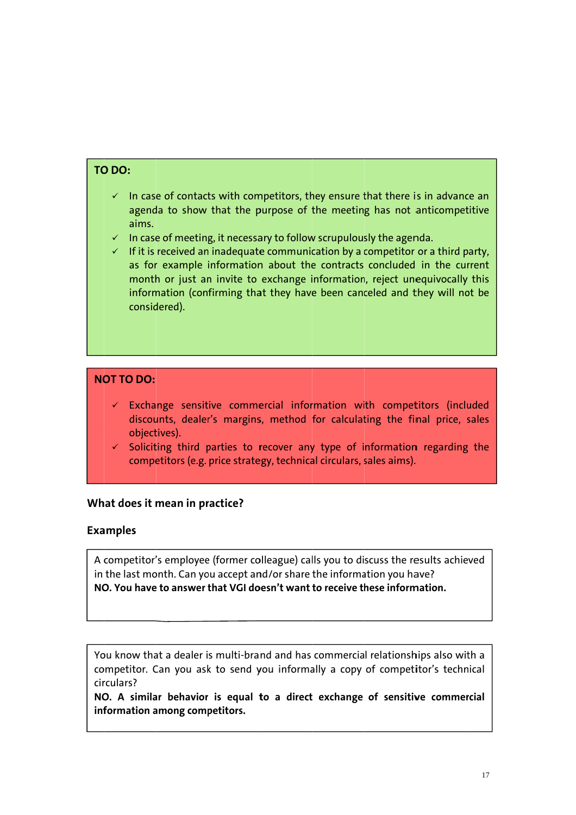#### TO DO:

- $\checkmark$  In case of contacts with competitors, they ensure that there is in advance an agenda to show that the purpose of the meeting has not anticompetitive aims.
- $\checkmark$  In case of meeting, it necessary to follow scrupulously the agenda.
- $\checkmark$  If it is received an inadequate communication by a competitor or a third party, as for example information about the contracts concluded in the current month or just an invite to exchange information, reject unequivocally this information (confirming that they have been canceled and they will not be considered).

#### **NOT TO DO:**

- $\checkmark$  Exchange sensitive commercial information with competitors (included discounts, dealer's margins, method for calculating the final price, sales objectives).
- $\checkmark$  Soliciting third parties to recover any type of information regarding the competitors (e.g. price strategy, technical circulars, sales aims).

#### What does it mean in practice?

#### **Examples**

A competitor's employee (former colleague) calls you to discuss the results achieved in the last month. Can you accept and/or share the information you have? NO. You have to answer that VGI doesn't want to receive these information.

You know that a dealer is multi-brand and has commercial relationships also with a competitor. Can you ask to send you informally a copy of competitor's technical circulars?

NO. A similar behavior is equal to a direct exchange of sensitive commercial information among competitors.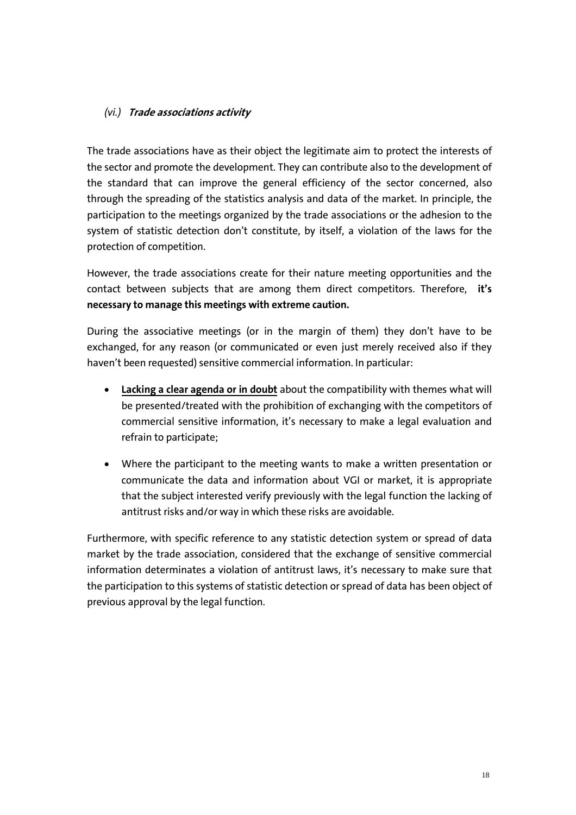#### *(vi.)* **Trade associations activity**

The trade associations have as their object the legitimate aim to protect the interests of the sector and promote the development. They can contribute also to the development of the standard that can improve the general efficiency of the sector concerned, also through the spreading of the statistics analysis and data of the market. In principle, the participation to the meetings organized by the trade associations or the adhesion to the system of statistic detection don't constitute, by itself, a violation of the laws for the protection of competition.

However, the trade associations create for their nature meeting opportunities and the contact between subjects that are among them direct competitors. Therefore, **it's necessary to manage this meetings with extreme caution.** 

During the associative meetings (or in the margin of them) they don't have to be exchanged, for any reason (or communicated or even just merely received also if they haven't been requested) sensitive commercial information. In particular:

- **Lacking a clear agenda or in doubt** about the compatibility with themes what will be presented/treated with the prohibition of exchanging with the competitors of commercial sensitive information, it's necessary to make a legal evaluation and refrain to participate;
- Where the participant to the meeting wants to make a written presentation or communicate the data and information about VGI or market, it is appropriate that the subject interested verify previously with the legal function the lacking of antitrust risks and/or way in which these risks are avoidable.

Furthermore, with specific reference to any statistic detection system or spread of data market by the trade association, considered that the exchange of sensitive commercial information determinates a violation of antitrust laws, it's necessary to make sure that the participation to this systems of statistic detection or spread of data has been object of previous approval by the legal function.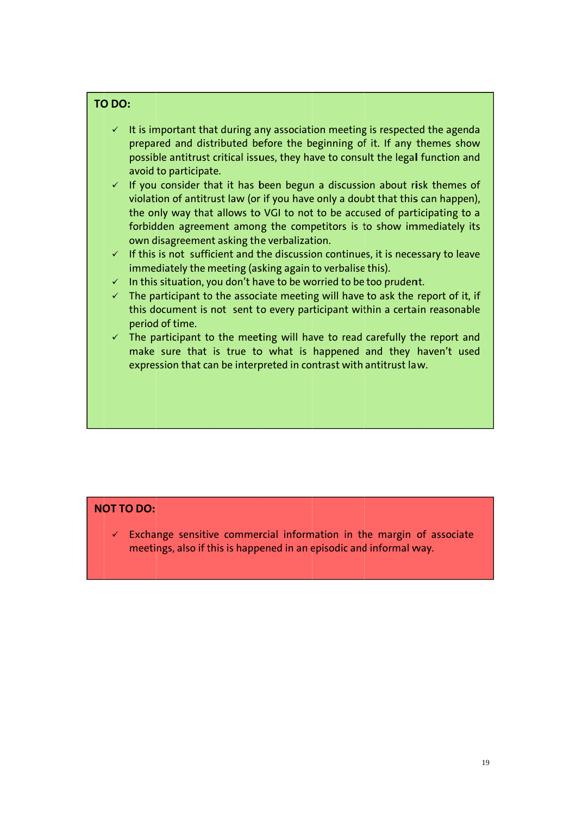#### TO DO:

- $\checkmark$  It is important that during any association meeting is respected the agenda prepared and distributed before the beginning of it. If any themes show possible antitrust critical issues, they have to consult the legal function and avoid to participate.
- $\checkmark$  If you consider that it has been begun a discussion about risk themes of violation of antitrust law (or if you have only a doubt that this can happen), the only way that allows to VGI to not to be accused of participating to a forbidden agreement among the competitors is to show immediately its own disagreement asking the verbalization.
- $\checkmark$  If this is not sufficient and the discussion continues, it is necessary to leave immediately the meeting (asking again to verbalise this).
- $\checkmark$  In this situation, you don't have to be worried to be too prudent.
- $\checkmark$  The participant to the associate meeting will have to ask the report of it, if this document is not sent to every participant within a certain reasonable period of time.
- $\checkmark$  The participant to the meeting will have to read carefully the report and make sure that is true to what is happened and they haven't used expression that can be interpreted in contrast with antitrust law.

#### **NOT TO DO:**

 $\checkmark$  Exchange sensitive commercial information in the margin of associate meetings, also if this is happened in an episodic and informal way.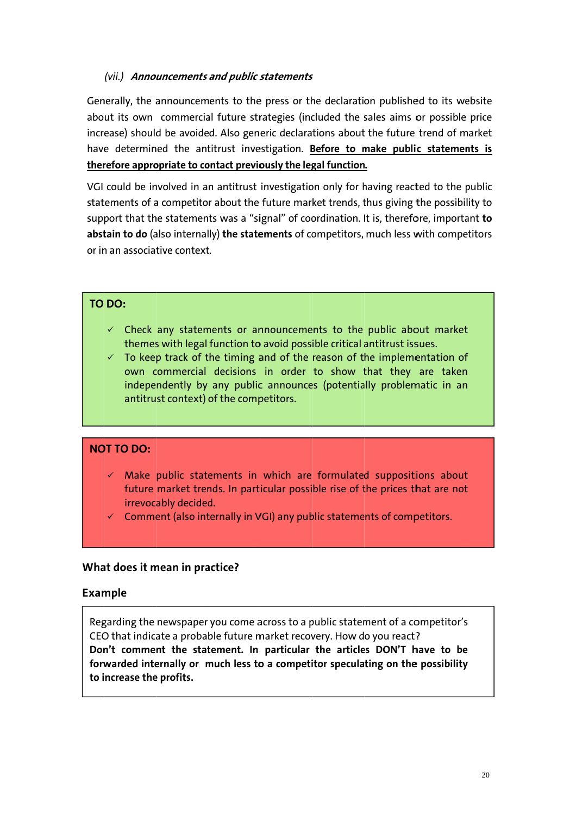#### (vii.) Announcements and public statements

Generally, the announcements to the press or the declaration published to its website about its own commercial future strategies (included the sales aims or possible price increase) should be avoided. Also generic declarations about the future trend of market have determined the antitrust investigation. Before to make public statements is therefore appropriate to contact previously the legal function.

VGI could be involved in an antitrust investigation only for having reacted to the public statements of a competitor about the future market trends, thus giving the possibility to support that the statements was a "signal" of coordination. It is, therefore, important to abstain to do (also internally) the statements of competitors, much less with competitors or in an associative context.

#### TO DO:

- $\checkmark$  Check any statements or announcements to the public about market themes with legal function to avoid possible critical antitrust issues.
- $\checkmark$  To keep track of the timing and of the reason of the implementation of own commercial decisions in order to show that they are taken independently by any public announces (potentially problematic in an antitrust context) of the competitors.

#### **NOT TO DO:**

- $\checkmark$  Make public statements in which are formulated suppositions about future market trends. In particular possible rise of the prices that are not irrevocably decided.
- $\checkmark$  Comment (also internally in VGI) any public statements of competitors.

#### What does it mean in practice?

#### **Example**

Regarding the newspaper you come across to a public statement of a competitor's CEO that indicate a probable future market recovery. How do you react? Don't comment the statement. In particular the articles DON'T have to be forwarded internally or much less to a competitor speculating on the possibility to increase the profits.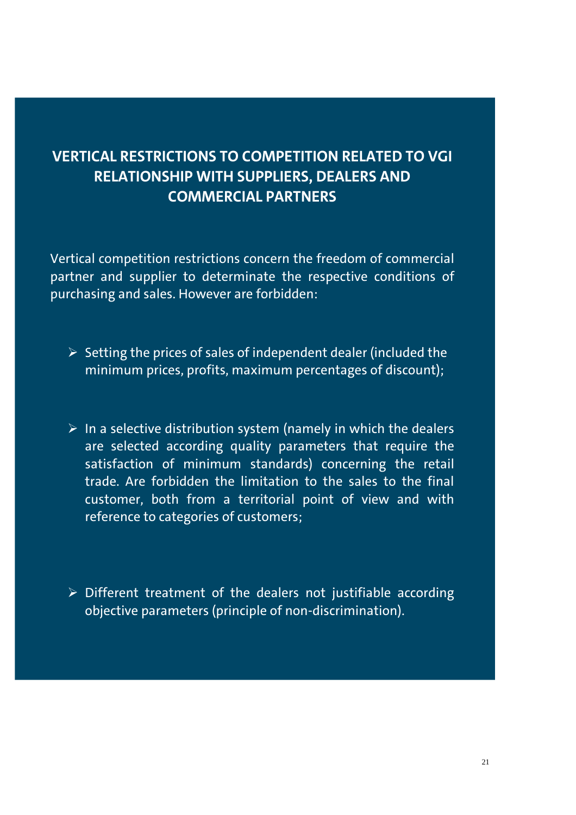# **VERTICAL RESTRICTIONS TO COMPETITION RELATED TO VGI RELATIONSHIP WITH SUPPLIERS, DEALERS AND COMMERCIAL PARTNERS**

Vertical competition restrictions concern the freedom of commercial partner and supplier to determinate the respective conditions of purchasing and sales. However are forbidden:

- $\triangleright$  Setting the prices of sales of independent dealer (included the minimum prices, profits, maximum percentages of discount);
- $\triangleright$  In a selective distribution system (namely in which the dealers are selected according quality parameters that require the satisfaction of minimum standards) concerning the retail trade. Are forbidden the limitation to the sales to the final customer, both from a territorial point of view and with reference to categories of customers;
- $\triangleright$  Different treatment of the dealers not justifiable according objective parameters (principle of non-discrimination).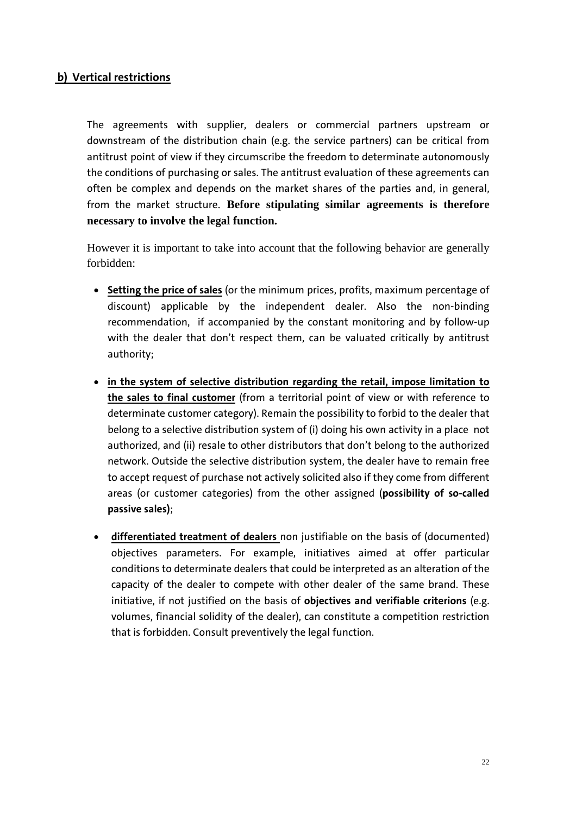#### **b) Vertical restrictions**

The agreements with supplier, dealers or commercial partners upstream or downstream of the distribution chain (e.g. the service partners) can be critical from antitrust point of view if they circumscribe the freedom to determinate autonomously the conditions of purchasing or sales. The antitrust evaluation of these agreements can often be complex and depends on the market shares of the parties and, in general, from the market structure. **Before stipulating similar agreements is therefore necessary to involve the legal function.** 

However it is important to take into account that the following behavior are generally forbidden:

- **Setting the price of sales** (or the minimum prices, profits, maximum percentage of discount) applicable by the independent dealer. Also the non-binding recommendation, if accompanied by the constant monitoring and by follow-up with the dealer that don't respect them, can be valuated critically by antitrust authority;
- **in the system of selective distribution regarding the retail, impose limitation to the sales to final customer** (from a territorial point of view or with reference to determinate customer category). Remain the possibility to forbid to the dealer that belong to a selective distribution system of (i) doing his own activity in a place not authorized, and (ii) resale to other distributors that don't belong to the authorized network. Outside the selective distribution system, the dealer have to remain free to accept request of purchase not actively solicited also if they come from different areas (or customer categories) from the other assigned (**possibility of so-called passive sales)**;
- **differentiated treatment of dealers** non justifiable on the basis of (documented) objectives parameters. For example, initiatives aimed at offer particular conditions to determinate dealers that could be interpreted as an alteration of the capacity of the dealer to compete with other dealer of the same brand. These initiative, if not justified on the basis of **objectives and verifiable criterions** (e.g. volumes, financial solidity of the dealer), can constitute a competition restriction that is forbidden. Consult preventively the legal function.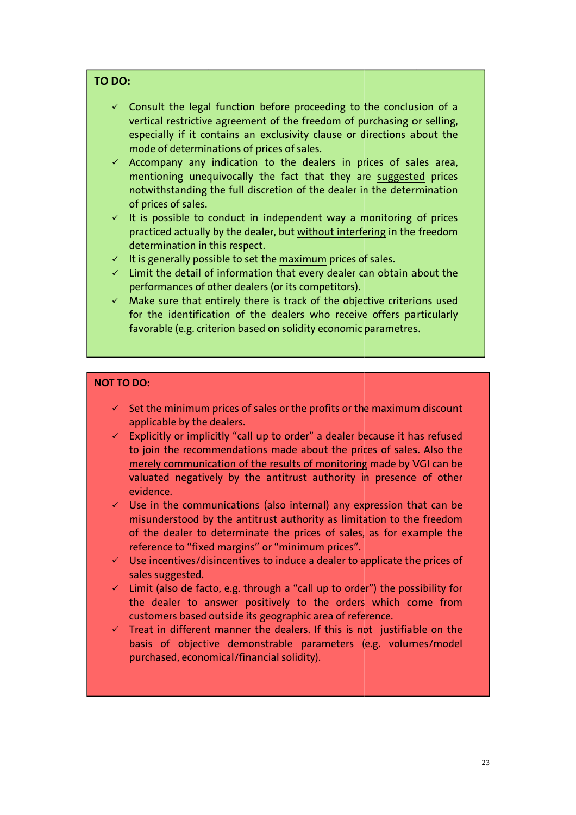#### TO DO:

- $\checkmark$  Consult the legal function before proceeding to the conclusion of a vertical restrictive agreement of the freedom of purchasing or selling, especially if it contains an exclusivity clause or directions about the mode of determinations of prices of sales.
- $\checkmark$  Accompany any indication to the dealers in prices of sales area, mentioning unequivocally the fact that they are suggested prices notwithstanding the full discretion of the dealer in the determination of prices of sales.
- $\checkmark$  It is possible to conduct in independent way a monitoring of prices practiced actually by the dealer, but without interfering in the freedom determination in this respect.
- $\checkmark$  It is generally possible to set the maximum prices of sales.
- $\checkmark$  Limit the detail of information that every dealer can obtain about the performances of other dealers (or its competitors).
- $\checkmark$  Make sure that entirely there is track of the objective criterions used for the identification of the dealers who receive offers particularly favorable (e.g. criterion based on solidity economic parametres.

#### **NOT TO DO:**

- $\checkmark$  Set the minimum prices of sales or the profits or the maximum discount applicable by the dealers.
- $\checkmark$  Explicitly or implicitly "call up to order" a dealer because it has refused to join the recommendations made about the prices of sales. Also the merely communication of the results of monitoring made by VGI can be valuated negatively by the antitrust authority in presence of other evidence.
- $\checkmark$  Use in the communications (also internal) any expression that can be misunderstood by the antitrust authority as limitation to the freedom of the dealer to determinate the prices of sales, as for example the reference to "fixed margins" or "minimum prices".
- $\checkmark$  Use incentives/disincentives to induce a dealer to applicate the prices of sales suggested.
- $\checkmark$  Limit (also de facto, e.g. through a "call up to order") the possibility for the dealer to answer positively to the orders which come from customers based outside its geographic area of reference.
- $\checkmark$  Treat in different manner the dealers. If this is not justifiable on the basis of objective demonstrable parameters (e.g. volumes/model purchased, economical/financial solidity).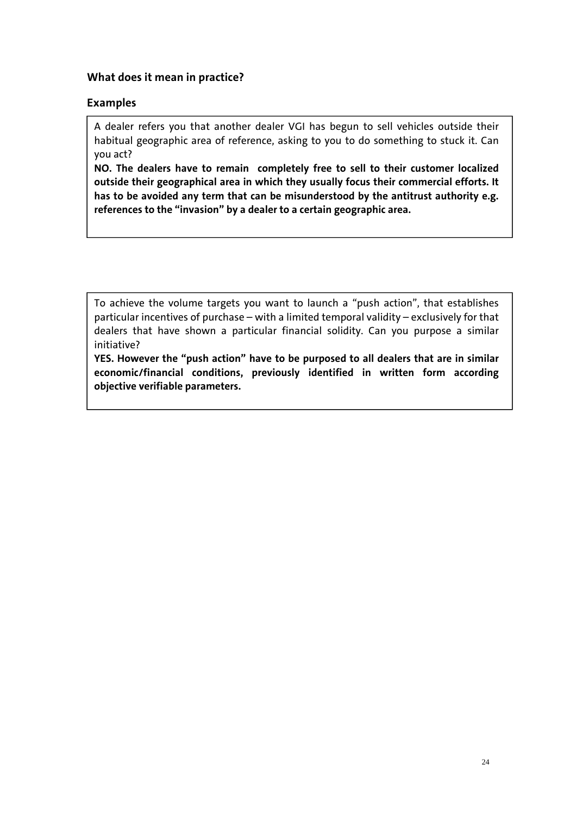#### **What does it mean in practice?**

#### **Examples**

A dealer refers you that another dealer VGI has begun to sell vehicles outside their habitual geographic area of reference, asking to you to do something to stuck it. Can you act?

**NO. The dealers have to remain completely free to sell to their customer localized outside their geographical area in which they usually focus their commercial efforts. It has to be avoided any term that can be misunderstood by the antitrust authority e.g. references to the "invasion" by a dealer to a certain geographic area.** 

To achieve the volume targets you want to launch a "push action", that establishes particular incentives of purchase – with a limited temporal validity – exclusively for that dealers that have shown a particular financial solidity. Can you purpose a similar initiative?

**YES. However the "push action" have to be purposed to all dealers that are in similar economic/financial conditions, previously identified in written form according objective verifiable parameters.**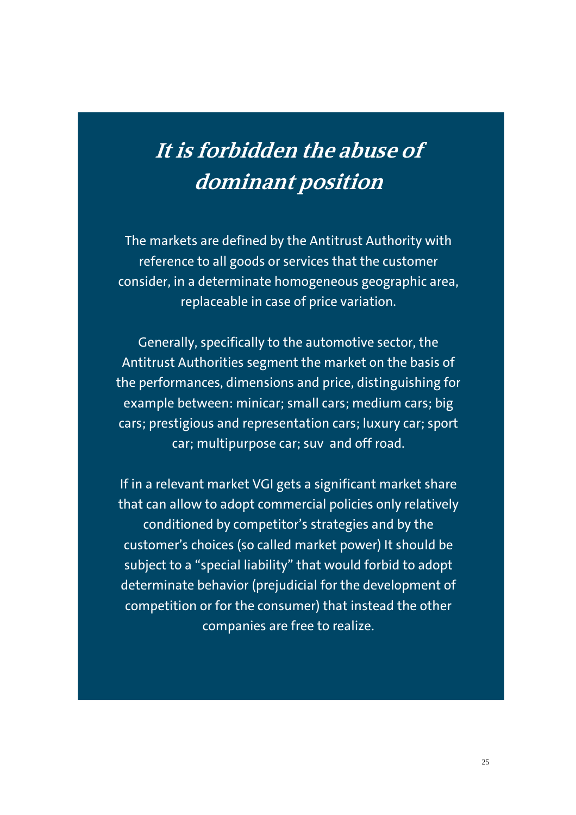# **It is forbidden the abuse of dominant position**

The markets are defined by the Antitrust Authority with reference to all goods or services that the customer consider, in a determinate homogeneous geographic area, replaceable in case of price variation.

Generally, specifically to the automotive sector, the Antitrust Authorities segment the market on the basis of the performances, dimensions and price, distinguishing for example between: minicar; small cars; medium cars; big cars; prestigious and representation cars; luxury car; sport car; multipurpose car; suv and off road.

If in a relevant market VGI gets a significant market share that can allow to adopt commercial policies only relatively conditioned by competitor's strategies and by the customer's choices (so called market power) It should be subject to a "special liability" that would forbid to adopt determinate behavior (prejudicial for the development of competition or for the consumer) that instead the other companies are free to realize.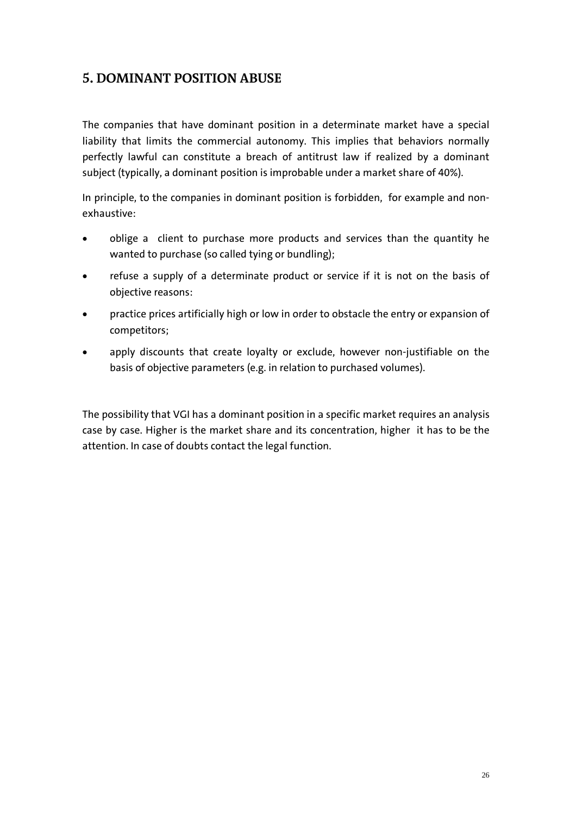## **5. DOMINANT POSITION ABUSE**

The companies that have dominant position in a determinate market have a special liability that limits the commercial autonomy. This implies that behaviors normally perfectly lawful can constitute a breach of antitrust law if realized by a dominant subject (typically, a dominant position is improbable under a market share of 40%).

In principle, to the companies in dominant position is forbidden, for example and nonexhaustive:

- oblige a client to purchase more products and services than the quantity he wanted to purchase (so called tying or bundling);
- refuse a supply of a determinate product or service if it is not on the basis of objective reasons:
- practice prices artificially high or low in order to obstacle the entry or expansion of competitors;
- apply discounts that create loyalty or exclude, however non-justifiable on the basis of objective parameters (e.g. in relation to purchased volumes).

The possibility that VGI has a dominant position in a specific market requires an analysis case by case. Higher is the market share and its concentration, higher it has to be the attention. In case of doubts contact the legal function.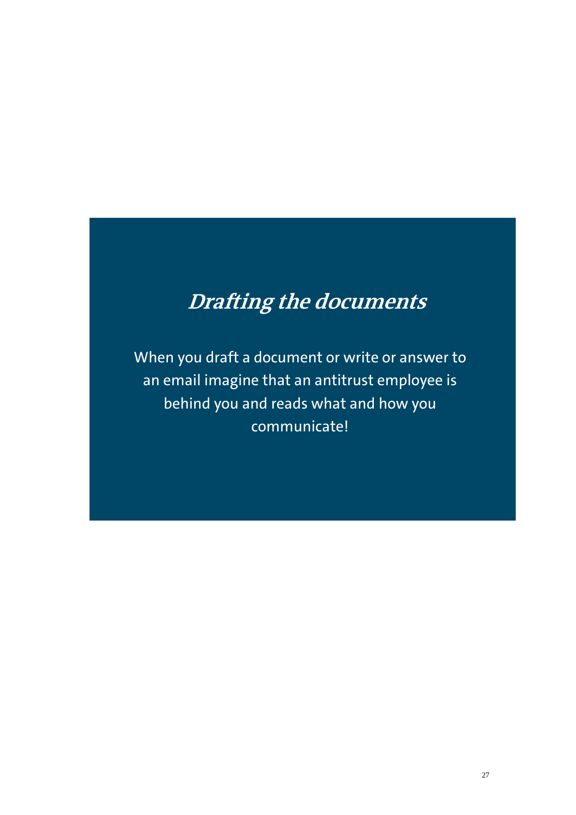# **Drafting the documents**

When you draft a document or write or answer to an email imagine that an antitrust employee is behind you and reads what and how you communicate!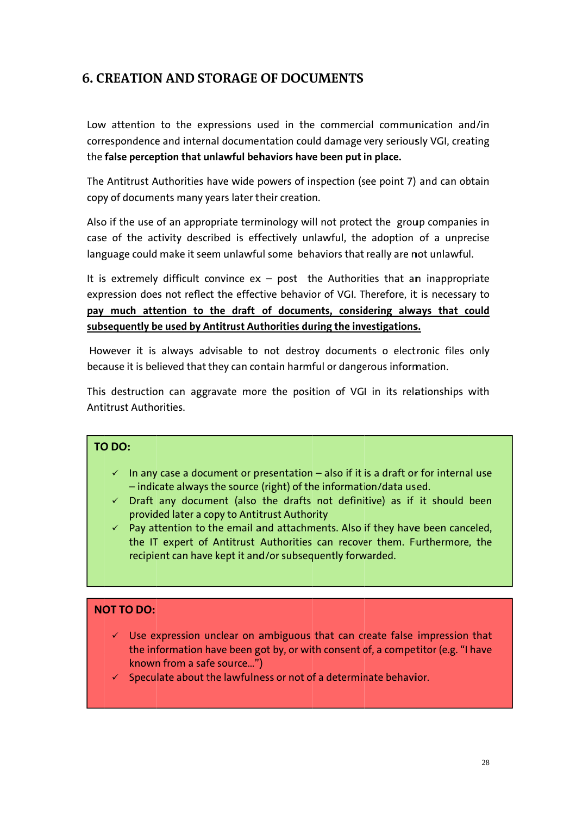## **6. CREATION AND STORAGE OF DOCUMENTS**

Low attention to the expressions used in the commercial communication and/in correspondence and internal documentation could damage very seriously VGI, creating the false perception that unlawful behaviors have been put in place.

The Antitrust Authorities have wide powers of inspection (see point 7) and can obtain copy of documents many years later their creation.

Also if the use of an appropriate terminology will not protect the group companies in case of the activity described is effectively unlawful, the adoption of a unprecise language could make it seem unlawful some behaviors that really are not unlawful.

It is extremely difficult convince  $ex - post$  the Authorities that an inappropriate expression does not reflect the effective behavior of VGI. Therefore, it is necessary to pay much attention to the draft of documents, considering always that could subsequently be used by Antitrust Authorities during the investigations.

However it is always advisable to not destroy documents o electronic files only because it is believed that they can contain harmful or dangerous information.

This destruction can aggravate more the position of VGI in its relationships with **Antitrust Authorities.** 

#### TO DO:

- $\checkmark$  In any case a document or presentation also if it is a draft or for internal use - indicate always the source (right) of the information/data used.
- $\checkmark$  Draft any document (also the drafts not definitive) as if it should been provided later a copy to Antitrust Authority
- $\checkmark$  Pay attention to the email and attachments. Also if they have been canceled, the IT expert of Antitrust Authorities can recover them. Furthermore, the recipient can have kept it and/or subsequently forwarded.

#### **NOT TO DO:**

- $\checkmark$  Use expression unclear on ambiguous that can create false impression that the information have been got by, or with consent of, a competitor (e.g. "I have known from a safe source...")
- $\checkmark$  Speculate about the lawfulness or not of a determinate behavior.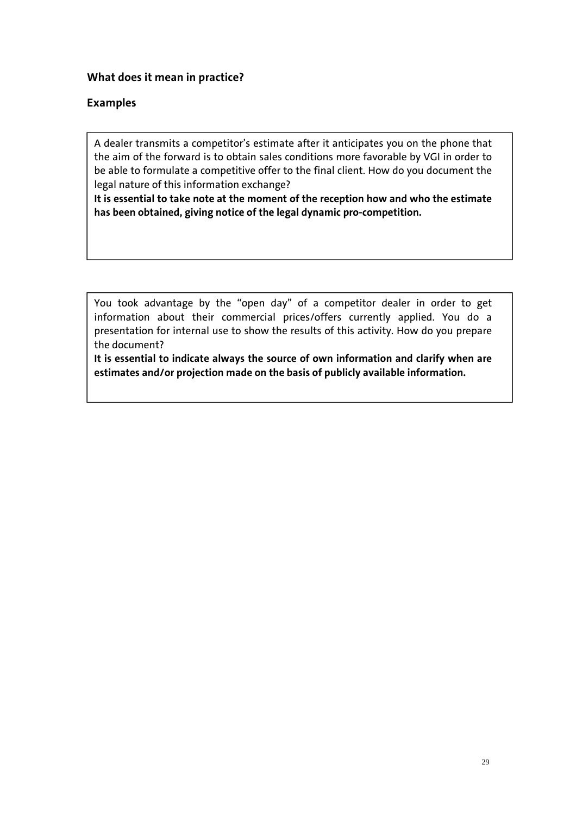#### **What does it mean in practice?**

#### **Examples**

A dealer transmits a competitor's estimate after it anticipates you on the phone that the aim of the forward is to obtain sales conditions more favorable by VGI in order to be able to formulate a competitive offer to the final client. How do you document the legal nature of this information exchange?

**It is essential to take note at the moment of the reception how and who the estimate has been obtained, giving notice of the legal dynamic pro-competition.** 

You took advantage by the "open day" of a competitor dealer in order to get information about their commercial prices/offers currently applied. You do a presentation for internal use to show the results of this activity. How do you prepare the document?

**It is essential to indicate always the source of own information and clarify when are estimates and/or projection made on the basis of publicly available information.**